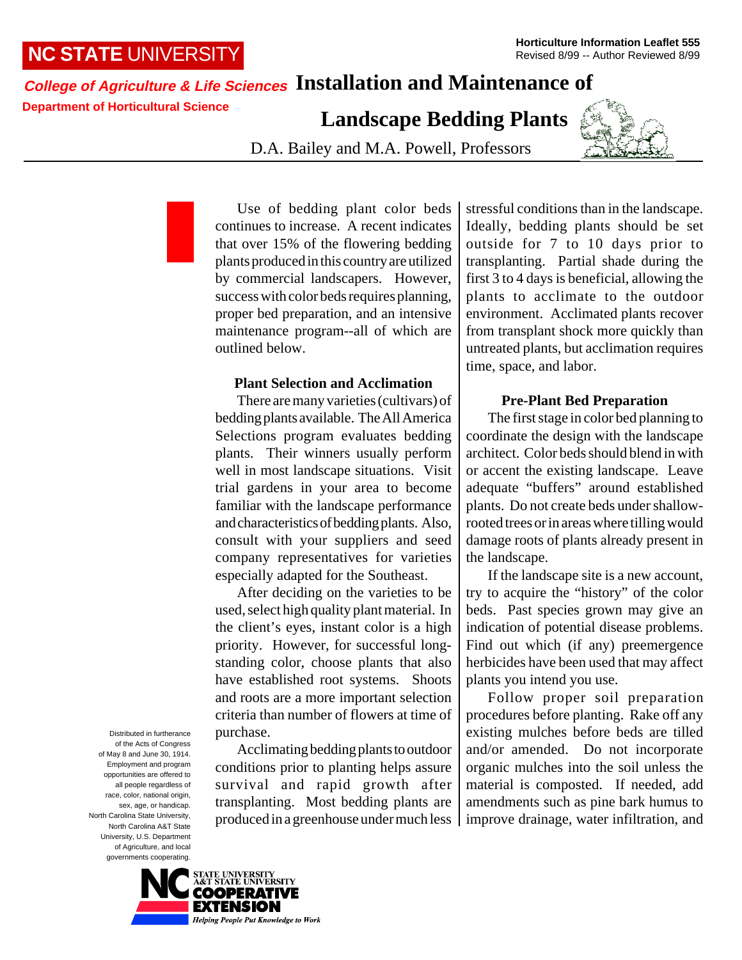# **NC STATE** UNIVERSITY

# **College of Agriculture & Life Sciences Installation and Maintenance of**

**Department of Horticultural Science**

**Landscape Bedding Plants**

D.A. Bailey and M.A. Powell, Professors



Use of bedding plant color beds continues to increase. A recent indicates that over 15% of the flowering bedding plants produced in this country are utilized by commercial landscapers. However, success with color beds requires planning, proper bed preparation, and an intensive maintenance program--all of which are outlined below.

## **Plant Selection and Acclimation**

There are many varieties (cultivars) of bedding plants available. The All America Selections program evaluates bedding plants. Their winners usually perform well in most landscape situations. Visit trial gardens in your area to become familiar with the landscape performance and characteristics of bedding plants. Also, consult with your suppliers and seed company representatives for varieties especially adapted for the Southeast.

After deciding on the varieties to be used, select high quality plant material. In the client's eyes, instant color is a high priority. However, for successful longstanding color, choose plants that also have established root systems. Shoots and roots are a more important selection criteria than number of flowers at time of purchase.

Acclimating bedding plants to outdoor conditions prior to planting helps assure survival and rapid growth after transplanting. Most bedding plants are produced in a greenhouse under much less

stressful conditions than in the landscape. Ideally, bedding plants should be set outside for 7 to 10 days prior to transplanting. Partial shade during the first 3 to 4 days is beneficial, allowing the plants to acclimate to the outdoor environment. Acclimated plants recover from transplant shock more quickly than untreated plants, but acclimation requires time, space, and labor.

## **Pre-Plant Bed Preparation**

The first stage in color bed planning to coordinate the design with the landscape architect. Color beds should blend in with or accent the existing landscape. Leave adequate "buffers" around established plants. Do not create beds under shallowrooted trees or in areas where tilling would damage roots of plants already present in the landscape.

If the landscape site is a new account, try to acquire the "history" of the color beds. Past species grown may give an indication of potential disease problems. Find out which (if any) preemergence herbicides have been used that may affect plants you intend you use.

Follow proper soil preparation procedures before planting. Rake off any existing mulches before beds are tilled and/or amended. Do not incorporate organic mulches into the soil unless the material is composted. If needed, add amendments such as pine bark humus to improve drainage, water infiltration, and

Distributed in furtherance of the Acts of Congress of May 8 and June 30, 1914. Employment and program opportunities are offered to all people regardless of race, color, national origin, sex, age, or handicap. North Carolina State University, North Carolina A&T State University, U.S. Department of Agriculture, and local governments cooperating.

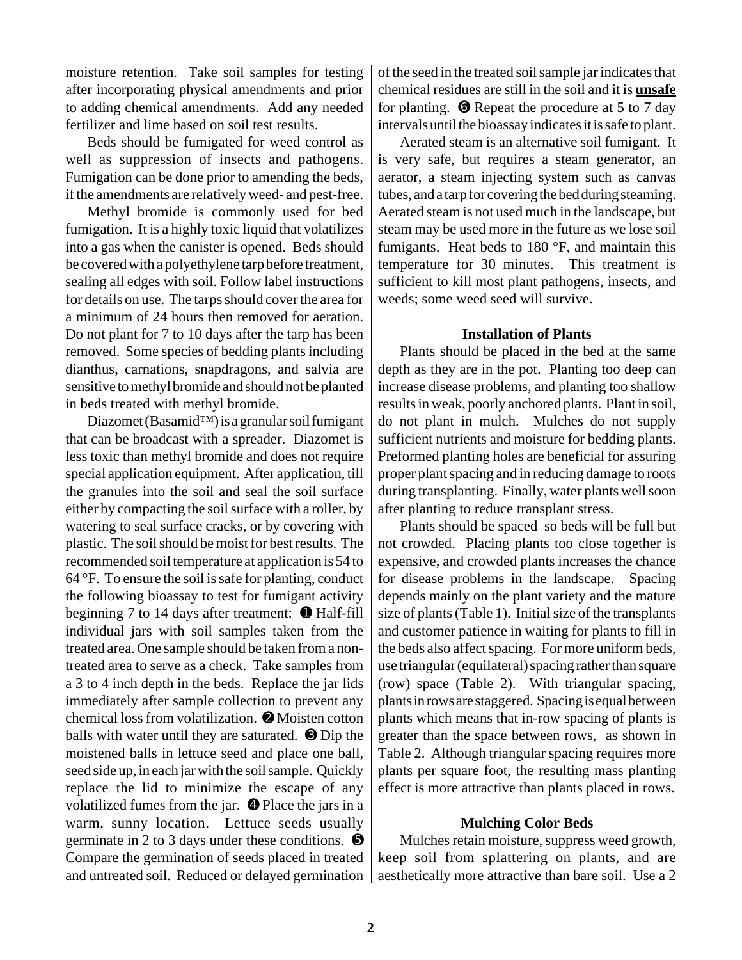moisture retention. Take soil samples for testing after incorporating physical amendments and prior to adding chemical amendments. Add any needed fertilizer and lime based on soil test results.

Beds should be fumigated for weed control as well as suppression of insects and pathogens. Fumigation can be done prior to amending the beds, if the amendments are relatively weed- and pest-free.

Methyl bromide is commonly used for bed fumigation. It is a highly toxic liquid that volatilizes into a gas when the canister is opened. Beds should be covered with a polyethylene tarp before treatment, sealing all edges with soil. Follow label instructions for details on use. The tarps should cover the area for a minimum of 24 hours then removed for aeration. Do not plant for 7 to 10 days after the tarp has been removed. Some species of bedding plants including dianthus, carnations, snapdragons, and salvia are sensitive to methyl bromide and should not be planted in beds treated with methyl bromide.

Diazomet (Basamid™) is a granular soil fumigant that can be broadcast with a spreader. Diazomet is less toxic than methyl bromide and does not require special application equipment. After application, till the granules into the soil and seal the soil surface either by compacting the soil surface with a roller, by watering to seal surface cracks, or by covering with plastic. The soil should be moist for best results. The recommended soil temperature at application is 54 to  $64^{\circ}$ F. To ensure the soil is safe for planting, conduct the following bioassay to test for fumigant activity beginning 7 to 14 days after treatment:  $\bullet$  Half-fill individual jars with soil samples taken from the treated area. One sample should be taken from a nontreated area to serve as a check. Take samples from a 3 to 4 inch depth in the beds. Replace the jar lids immediately after sample collection to prevent any chemical loss from volatilization. ➋ Moisten cotton balls with water until they are saturated. <sup>©</sup> Dip the moistened balls in lettuce seed and place one ball, seed side up, in each jar with the soil sample. Quickly replace the lid to minimize the escape of any volatilized fumes from the jar.  $\bullet$  Place the jars in a warm, sunny location. Lettuce seeds usually germinate in 2 to 3 days under these conditions.  $\bullet$ Compare the germination of seeds placed in treated and untreated soil. Reduced or delayed germination

of the seed in the treated soil sample jar indicates that chemical residues are still in the soil and it is **unsafe** for planting. ➏ Repeat the procedure at 5 to 7 day intervals until the bioassay indicates it is safe to plant.

Aerated steam is an alternative soil fumigant. It is very safe, but requires a steam generator, an aerator, a steam injecting system such as canvas tubes, and a tarp for covering the bed during steaming. Aerated steam is not used much in the landscape, but steam may be used more in the future as we lose soil fumigants. Heat beds to 180 °F, and maintain this temperature for 30 minutes. This treatment is sufficient to kill most plant pathogens, insects, and weeds; some weed seed will survive.

#### **Installation of Plants**

Plants should be placed in the bed at the same depth as they are in the pot. Planting too deep can increase disease problems, and planting too shallow results in weak, poorly anchored plants. Plant in soil, do not plant in mulch. Mulches do not supply sufficient nutrients and moisture for bedding plants. Preformed planting holes are beneficial for assuring proper plant spacing and in reducing damage to roots during transplanting. Finally, water plants well soon after planting to reduce transplant stress.

Plants should be spaced so beds will be full but not crowded. Placing plants too close together is expensive, and crowded plants increases the chance for disease problems in the landscape. Spacing depends mainly on the plant variety and the mature size of plants (Table 1). Initial size of the transplants and customer patience in waiting for plants to fill in the beds also affect spacing. For more uniform beds, use triangular (equilateral) spacing rather than square (row) space (Table 2). With triangular spacing, plants in rows are staggered. Spacing is equal between plants which means that in-row spacing of plants is greater than the space between rows, as shown in Table 2. Although triangular spacing requires more plants per square foot, the resulting mass planting effect is more attractive than plants placed in rows.

#### **Mulching Color Beds**

Mulches retain moisture, suppress weed growth, keep soil from splattering on plants, and are aesthetically more attractive than bare soil. Use a 2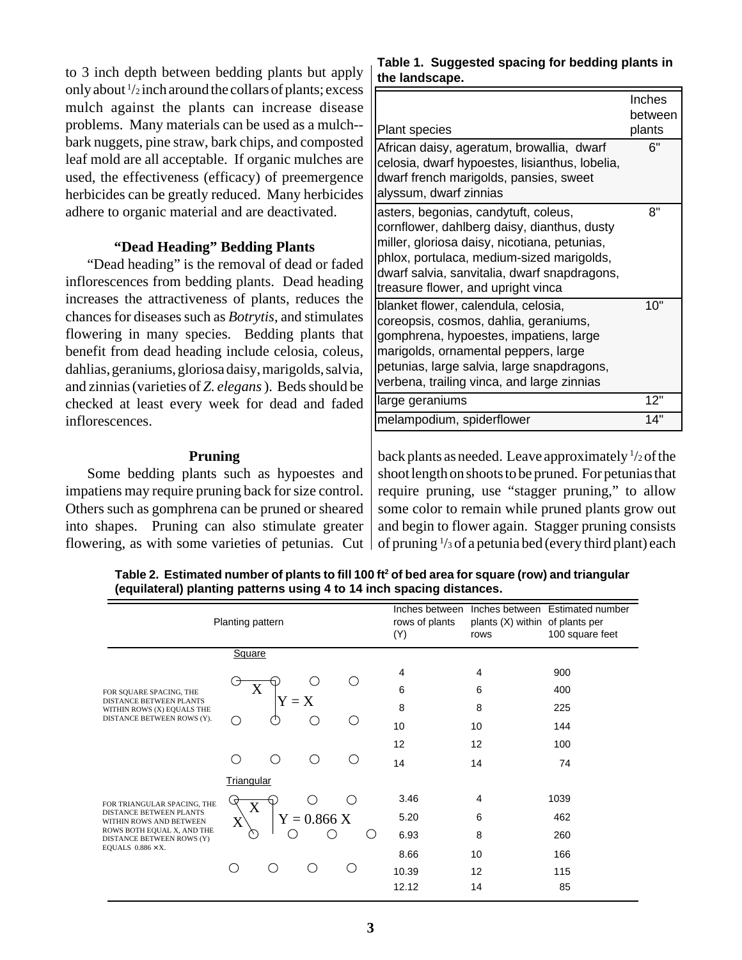to 3 inch depth between bedding plants but apply only about 1 /2 inch around the collars of plants; excess mulch against the plants can increase disease problems. Many materials can be used as a mulch- bark nuggets, pine straw, bark chips, and composted leaf mold are all acceptable. If organic mulches are used, the effectiveness (efficacy) of preemergence herbicides can be greatly reduced. Many herbicides adhere to organic material and are deactivated.

#### **"Dead Heading" Bedding Plants**

"Dead heading" is the removal of dead or faded inflorescences from bedding plants. Dead heading increases the attractiveness of plants, reduces the chances for diseases such as *Botrytis*, and stimulates flowering in many species. Bedding plants that benefit from dead heading include celosia, coleus, dahlias, geraniums, gloriosa daisy, marigolds, salvia, and zinnias (varieties of *Z. elegans* ). Beds should be checked at least every week for dead and faded inflorescences.

#### **Pruning**

Some bedding plants such as hypoestes and impatiens may require pruning back for size control. Others such as gomphrena can be pruned or sheared into shapes. Pruning can also stimulate greater flowering, as with some varieties of petunias. Cut

## **Table 1. Suggested spacing for bedding plants in the landscape.**

| <b>Plant species</b>                                                                                                                                                                                                                                                   | Inches<br>between<br>plants |
|------------------------------------------------------------------------------------------------------------------------------------------------------------------------------------------------------------------------------------------------------------------------|-----------------------------|
| African daisy, ageratum, browallia, dwarf<br>celosia, dwarf hypoestes, lisianthus, lobelia,<br>dwarf french marigolds, pansies, sweet<br>alyssum, dwarf zinnias                                                                                                        | ճ"                          |
| asters, begonias, candytuft, coleus,<br>cornflower, dahlberg daisy, dianthus, dusty<br>miller, gloriosa daisy, nicotiana, petunias,<br>phlox, portulaca, medium-sized marigolds,<br>dwarf salvia, sanvitalia, dwarf snapdragons,<br>treasure flower, and upright vinca | 8"                          |
| blanket flower, calendula, celosia,<br>coreopsis, cosmos, dahlia, geraniums,<br>gomphrena, hypoestes, impatiens, large<br>marigolds, ornamental peppers, large<br>petunias, large salvia, large snapdragons,<br>verbena, trailing vinca, and large zinnias             | 10"                         |
| large geraniums                                                                                                                                                                                                                                                        | 12"                         |
| melampodium, spiderflower                                                                                                                                                                                                                                              | 14"                         |

back plants as needed. Leave approximately <sup>1</sup>/2 of the shoot length on shoots to be pruned. For petunias that require pruning, use "stagger pruning," to allow some color to remain while pruned plants grow out and begin to flower again. Stagger pruning consists of pruning 1 /3 of a petunia bed (every third plant) each

Table 2. Estimated number of plants to fill 100 ft<sup>2</sup> of bed area for square (row) and triangular **(equilateral) planting patterns using 4 to 14 inch spacing distances.**

| Planting pattern                                                                                                                                                                 |            |                     |               |      | Inches between<br>rows of plants<br>(Y) | plants (X) within of plants per<br>rows | Inches between Estimated number<br>100 square feet |
|----------------------------------------------------------------------------------------------------------------------------------------------------------------------------------|------------|---------------------|---------------|------|-----------------------------------------|-----------------------------------------|----------------------------------------------------|
|                                                                                                                                                                                  | Square     |                     |               |      |                                         |                                         |                                                    |
| FOR SOUARE SPACING, THE<br><b>DISTANCE BETWEEN PLANTS</b><br>WITHIN ROWS (X) EQUALS THE<br>DISTANCE BETWEEN ROWS (Y).                                                            |            |                     | ()            |      | 4                                       | 4                                       | 900                                                |
|                                                                                                                                                                                  | X          |                     |               |      | 6                                       | 6                                       | 400                                                |
|                                                                                                                                                                                  |            | ${\rm Y} = {\rm X}$ | ∩             |      | 8                                       | 8                                       | 225                                                |
|                                                                                                                                                                                  |            |                     |               |      | 10                                      | 10                                      | 144                                                |
|                                                                                                                                                                                  |            |                     |               |      | 12                                      | 12                                      | 100                                                |
|                                                                                                                                                                                  | ⊖.         | ∩                   | ∩             | (  ) | 14                                      | 14                                      | 74                                                 |
|                                                                                                                                                                                  | Triangular |                     |               |      |                                         |                                         |                                                    |
| FOR TRIANGULAR SPACING, THE<br><b>DISTANCE BETWEEN PLANTS</b><br>WITHIN ROWS AND BETWEEN<br>ROWS BOTH EQUAL X, AND THE<br>DISTANCE BETWEEN ROWS (Y)<br>EQUALS $0.886 \times X$ . | Ӯ<br>X     |                     | 0             | ◯    | 3.46                                    | 4                                       | 1039                                               |
|                                                                                                                                                                                  | X          |                     | $Y = 0.866 X$ |      | 5.20                                    | 6                                       | 462                                                |
|                                                                                                                                                                                  |            |                     |               | 6.93 | 8                                       | 260                                     |                                                    |
|                                                                                                                                                                                  | ◯          |                     |               |      | 8.66                                    | 10                                      | 166                                                |
|                                                                                                                                                                                  |            | ∩                   |               | € )  | 10.39                                   | 12                                      | 115                                                |
|                                                                                                                                                                                  |            |                     |               |      | 12.12                                   | 14                                      | 85                                                 |